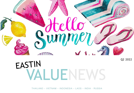

# VALUENE EASTIN  $\sum_{\text{Q2 2022}}$

THAILAND – VIETNAM – INDONESIA – LAOS – INDIA - RUSSIA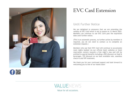



## EVC Card Extension

#### Until Further Notice

We are delighted to announce that we are extending the validity of EVC Card which is set to expire on 31 March 2022. Members can continue to use EVC Card past the expiration date until further notice.

(This is an automatic process, no further action by members is required, you do not need to contact us to complete an extension request.)

Members who use their EVC Card will continue to accumulate room nights booked via our official hotel websites or hotel reservation centers towards a free night's stay and will be entitled to special benefits including a 20% discount on food & beverages, 15% discount on our best available rate, seamless check-in and VIP treatment.

We thank you for your continued support and look forward to welcoming you to one of our hotels soon!

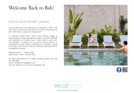# Welcome Back to Bali!

#### EASTIN ASHTA RESORT CANGGU

Tourist attractions and beaches are reopening in Bali, and with travel restrictions being lifted, it's time to head back to the world-famous, bucket list destination!

To welcome guests back, Eastin Ashta Resort Canggu is offering guests 3-night packages starting at just IDR 2,588,000 with breakfast for 2 persons and 1 child under 16 years old. The package is inclusive of a one-way airport pick-up, a complimentary beer bucket (4 Bintang) or 2 cocktails, access to the gym, pool & kid's club and unlimited high-speed Wi-Fi throughout the resort.

Booking Period: 1 – 30 April 2022 Stay Period: 1 April – 30 June 2022

For more information or to make a booking, please call +62 361 6200 888. Email: rsvn@eastincanggubali.com Visit our website at www.eastincanggubali.com







Value for all occasions.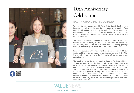



# 10th Anniversary Celebrations

### EASTIN GRAND HOTEL SATHORN

To mark its 10th anniversary this May, Eastin Grand Hotel Sathorn Bangkok is celebrating the exciting milestone with special offers packed with unique benefits, perks and gifts! To commence the celebrations, during the month of May, all hotel guests as well as The Glass House and Antito diners will stand a chance to win attractive lucky draw prizes.

The hotel is also offering wedding couples who choose to host their special day at the hotel, a THB 10,000 F&B credit for every THB 100,000 they spend. The offer is valid for all wedding package bookings made in May for events held from June 2022 to April 2023.

Furthermore, guests with a hotel membership can book a 2-night stay in May 2022 using our staycation promotion and pay only THB 10 for the 2nd night (room-only and the first night will be charged at the normal rate).

The hotel is also inviting guests who have been to Eastin Grand Hotel Sathorn Bangkok within the last decade to post their photos on Facebook with the hashtag #EastinGrandSathorn10Years and a description of their most memorable moment during their visit. Starting 4 May 2022, the first 30 posts will be given the opportunity to purchase a 1-night stay for only THB 10! The offer is valid for stays before 30 September 2022. Guests can visit https://www.facebook.com/EastinGrandSathorn for more information and stay up to date on our other giveaways and 10thanniversary promotions.

VALUENEWS Value for all occasions.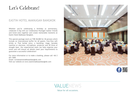# Let's Celebrate!

#### EASTIN HOTEL MAKKASAN BANGKOK

Whether you're celebrating a birthday or anniversary, celebrate it big with our Celebration Package! Gather friends and loved ones together and create memorable moments at Eastin Hotel Makkasan Bangkok.

This special package starts at THB 38,000 for 30 persons which include an international buffet for all guests, free-flow soft drinks or Thai herbal juice, a backdrop, stage, karaoke machine or electone, microphone, projector and 30 litres of draught beer. Our experienced team can help organize your event and will ensure all details meet your requirements to guarantee a successful celebration!

For more information or to make a booking, please call +66 2 651 7600.

Email: rsvn@eastinmakkasanbangkok.com Visit our website at www.eastinmakkasanbangkok.com







Value for all occasions.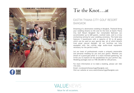



## Tie the Knot…at

#### EASTIN THANA CITY GOLF RESORT BANGKOK

Dreaming of a destination wedding in Bangkok, Thailand? Bring your wedding dreams to life and tie the knot at Eastin Thana City Golf Resort Bangkok! Our remarkable Ballroom can accommodate up to 600 guests, cocktail style, and is a truly enchanting setting for your wedding ceremony. The hotel also features 3 boardrooms with a capacity of 20 to 40 guests which can be used on your special day, all of which benefit from great natural daylight. All our facilities are fully equipped with the cutting edge audio-visual equipment necessary for the perfect event.

Let our team of professionals create a uniquely memorable and personal wedding for you and your guests. Whether you dream of a grand gala affair or a more intimate gathering, we invite you to explore all the possibilities for your perfect day. Wedding packages start at THB 250,000 for 250 persons.

For more information or to make a booking, please call +662 172 2333.

Email: rsvn@eastinthanacitygolfbangkok.com Visit our website at www.eastinthanacitygolfbangkok.com

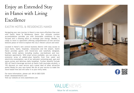# Enjoy an Extended Stay in Hanoi with Living Excellence

#### EASTIN HOTEL & RESIDENCES HANOI

Navigating your new journey in Hanoi is now more effortless than ever with Eastin Hotel & Residences Hanoi. Our ultimate comfort accommodation provides you with favourable conditions to stay focused and a relaxing place to recharge your energy. Besides, a ready to move in apartment offering comprehensive on-site services bestows peace of mind to explore the city's vibrant culture and sites!

Located in Hanoi's new central business district with easy access to local marts, banks, hospitals, restaurants and the airport, Eastin Hanoi provides guests with brand-new and tastefully designed, flexible rental options including studios, one-bedroom and twobedroom apartments. With smart prices available, you can enjoy an extensive array of added-value benefits from free water and electricity consumption, use of our saltwater swimming pool, gym and sauna access and delicious daily breakfast. Further benefits include 20% off food & beverage services at Eastin Café (excludes alcohol), a 15% discount on room service and a great deal of other attractive perks! Ready for your new home? We are at your service to make the move hassle-free and will tailor it to your every need.

For more information, please call +84 24 3825 5255 Email: dos@eastinhanoi.com Visit our website at www.eastinhanoi.com





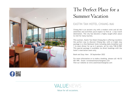

# The Perfect Place for a Summer Vacation

### EASTIN TAN HOTEL CHIANG MAI

Chiang Mai is an ancient city with a modern twist and all the amenities and activities you'd expect to find at a top travel destination. The city has become a highly sought-after place to visit for many tourists.

This summer, Eastin Tan Hotel Chiang Mai is offering travellers the perfect way to discover Chiang Mai, with a 2-night stay package in a One Bedroom Suite including daily breakfast and 1 in-room dinner for up to 2 persons, all for only THB 8,998! This special package is available via direct bookings with the hotel's reservation team only.

Book and Stay: Now – 30 September 2022

For more information or to make a booking, please call +66 52 001 999. Email: rsvn@eastintanchiangmai.com Visit our website at www.eastintanchiangmai.com



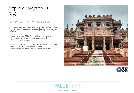# Explore Talegaon in Style!

### EASTIN EASY AISHWARYA TALEGAON

Your visit to Jain Temples at Talegaon got even better. Eastin Easy Aishwarya Talegaon offers special packages with stay and Jain food.

- Room starts from INR5,500/- plus taxes for a couple
- All 4 meals, swimming pool and indoor activities
- Chef's special Jain menu

To know more, please call +9112200824/02114667777 or email us afnb@eastineasyairhwaryatalegaon.com visit our website www.eastineasyaishwaryatalegaon.com







Value for all occasions.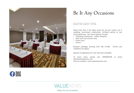

# Be It Any Occasions

### EASTIN EASY VITA

Eastin Easy Vita is the ideal venue for all your events, be it wedding, anniversary celebration, birthday parties or any social gathering. Our venue options include:

- Chanakya & Amantran indoor banquets
- Elite roof top function area
- Green lawn
- Atrium

Banquet packages starting from INR 37,500. (Terms and conditions do apply)

Special arrangements for Jain food also available.

To know more, please call +8956907309 or email fbm@eastineasyvita.com. Visit our website: www.eastineasyvita.com